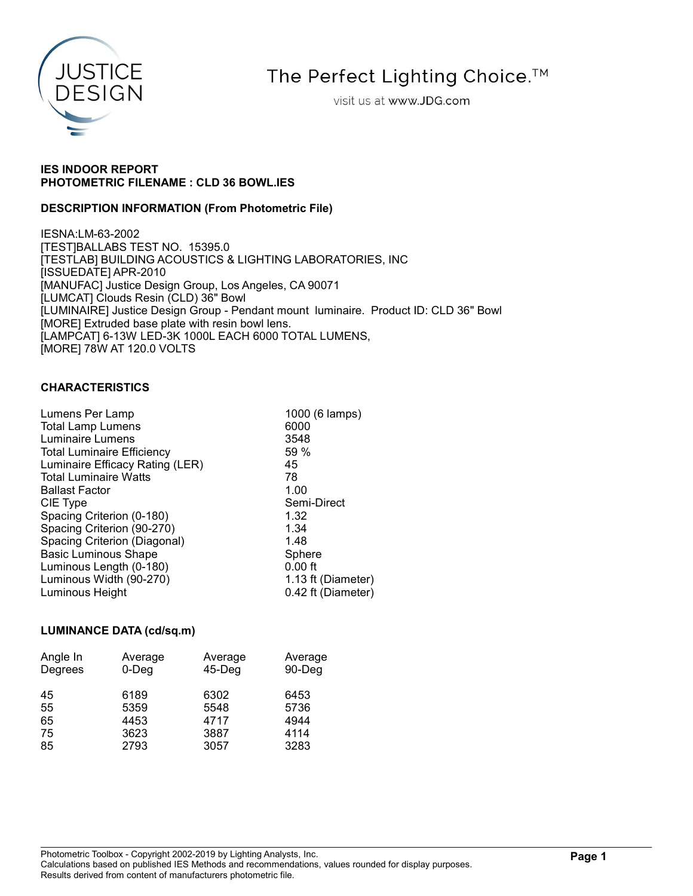

The Perfect Lighting Choice.<sup>™</sup>

visit us at www.JDG.com

# IES INDOOR REPORT PHOTOMETRIC FILENAME : CLD 36 BOWL.IES

# DESCRIPTION INFORMATION (From Photometric File)

IESNA:LM-63-2002 [TEST]BALLABS TEST NO. 15395.0 [TESTLAB] BUILDING ACOUSTICS & LIGHTING LABORATORIES, INC [ISSUEDATE] APR-2010 [MANUFAC] Justice Design Group, Los Angeles, CA 90071 [LUMCAT] Clouds Resin (CLD) 36" Bowl [LUMINAIRE] Justice Design Group - Pendant mount luminaire. Product ID: CLD 36" Bowl [MORE] Extruded base plate with resin bowl lens. [LAMPCAT] 6-13W LED-3K 1000L EACH 6000 TOTAL LUMENS, [MORE] 78W AT 120.0 VOLTS

# CHARACTERISTICS

| Lumens Per Lamp                   | 1000 (6 lamps)     |
|-----------------------------------|--------------------|
| <b>Total Lamp Lumens</b>          | 6000               |
| Luminaire Lumens                  | 3548               |
| <b>Total Luminaire Efficiency</b> | 59%                |
| Luminaire Efficacy Rating (LER)   | 45                 |
| <b>Total Luminaire Watts</b>      | 78                 |
| <b>Ballast Factor</b>             | 1.00               |
| CIE Type                          | Semi-Direct        |
| Spacing Criterion (0-180)         | 1.32               |
| Spacing Criterion (90-270)        | 1.34               |
| Spacing Criterion (Diagonal)      | 1.48               |
| <b>Basic Luminous Shape</b>       | Sphere             |
| Luminous Length (0-180)           | $0.00$ ft          |
| Luminous Width (90-270)           | 1.13 ft (Diameter) |
| Luminous Height                   | 0.42 ft (Diameter) |
|                                   |                    |

# LUMINANCE DATA (cd/sq.m)

| Angle In | Average | Average   | Average |
|----------|---------|-----------|---------|
| Degrees  | 0-Deg   | $45$ -Deg | 90-Deg  |
| 45       | 6189    | 6302      | 6453    |
| 55       | 5359    | 5548      | 5736    |
| 65       | 4453    | 4717      | 4944    |
| 75       | 3623    | 3887      | 4114    |
| 85       | 2793    | 3057      | 3283    |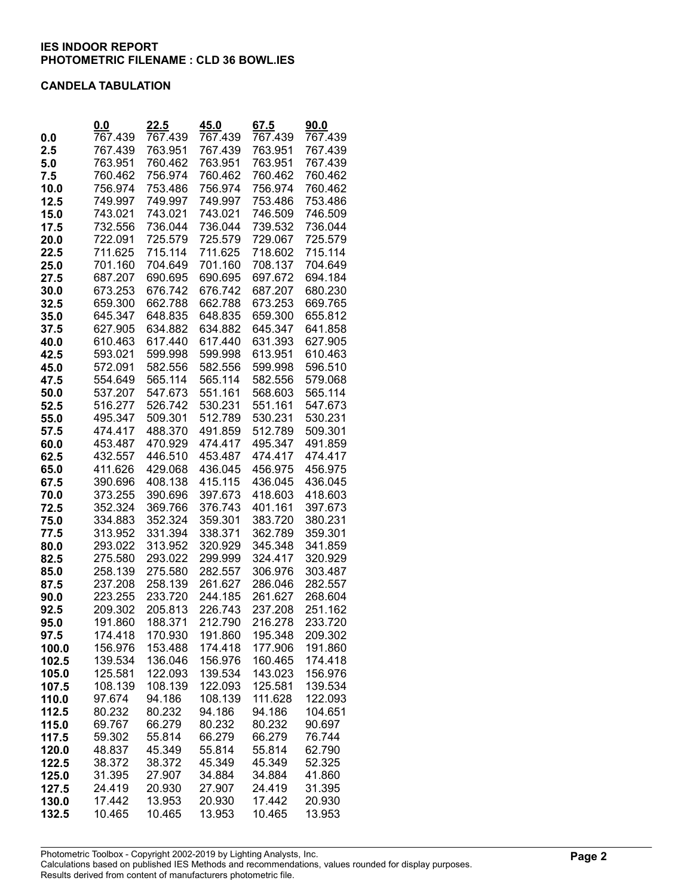#### CANDELA TABULATION

|              | 0.0                | 22.5               | 45.0               | 67.5               | 90.0               |
|--------------|--------------------|--------------------|--------------------|--------------------|--------------------|
| 0.0          | 767.439            | 767.439            | 767.439            | 767.439            | 767.439            |
| 2.5          | 767.439            | 763.951            | 767.439            | 763.951            | 767.439            |
| 5.0          | 763.951            | 760.462            | 763.951            | 763.951            | 767.439            |
| 7.5          | 760.462            | 756.974            | 760.462            | 760.462            | 760.462            |
| 10.0         | 756.974            | 753.486            | 756.974            | 756.974            | 760.462            |
| 12.5         | 749.997            | 749.997            | 749.997            | 753.486            | 753.486            |
| 15.0         | 743.021            | 743.021            | 743.021            | 746.509            | 746.509            |
| 17.5         | 732.556            | 736.044            | 736.044            | 739.532            | 736.044            |
| 20.0         | 722.091            | 725.579            | 725.579            | 729.067            | 725.579            |
| 22.5         | 711.625            | 715.114            | 711.625            | 718.602            | 715.114            |
| 25.0         | 701.160            | 704.649            | 701.160            | 708.137            | 704.649            |
| 27.5         | 687.207            | 690.695            | 690.695            | 697.672            | 694.184            |
| 30.0         | 673.253            | 676.742            | 676.742<br>662.788 | 687.207<br>673.253 | 680.230<br>669.765 |
| 32.5         | 659.300<br>645.347 | 662.788<br>648.835 | 648.835            |                    | 655.812            |
| 35.0<br>37.5 | 627.905            | 634.882            | 634.882            | 659.300<br>645.347 | 641.858            |
| 40.0         | 610.463            | 617.440            | 617.440            | 631.393            | 627.905            |
| 42.5         | 593.021            | 599.998            | 599.998            | 613.951            | 610.463            |
| 45.0         | 572.091            | 582.556            | 582.556            | 599.998            | 596.510            |
| 47.5         | 554.649            | 565.114            | 565.114            | 582.556            | 579.068            |
| 50.0         | 537.207            | 547.673            | 551.161            | 568.603            | 565.114            |
| 52.5         | 516.277            | 526.742            | 530.231            | 551.161            | 547.673            |
| 55.0         | 495.347            | 509.301            | 512.789            | 530.231            | 530.231            |
| 57.5         | 474.417            | 488.370            | 491.859            | 512.789            | 509.301            |
| 60.0         | 453.487            | 470.929            | 474.417            | 495.347            | 491.859            |
| 62.5         | 432.557            | 446.510            | 453.487            | 474.417            | 474.417            |
| 65.0         | 411.626            | 429.068            | 436.045            | 456.975            | 456.975            |
| 67.5         | 390.696            | 408.138            | 415.115            | 436.045            | 436.045            |
| 70.0         | 373.255            | 390.696            | 397.673            | 418.603            | 418.603            |
| 72.5         | 352.324            | 369.766            | 376.743            | 401.161            | 397.673            |
| 75.0         | 334.883            | 352.324            | 359.301            | 383.720            | 380.231            |
| 77.5         | 313.952            | 331.394            | 338.371            | 362.789            | 359.301            |
| 80.0         | 293.022            | 313.952            | 320.929            | 345.348            | 341.859            |
| 82.5         | 275.580            | 293.022            | 299.999            | 324.417            | 320.929            |
| 85.0         | 258.139            | 275.580            | 282.557            | 306.976            | 303.487            |
| 87.5         | 237.208            | 258.139            | 261.627            | 286.046            | 282.557            |
| 90.0<br>92.5 | 223.255<br>209.302 | 233.720<br>205.813 | 244.185<br>226.743 | 261.627<br>237.208 | 268.604<br>251.162 |
| 95.0         | 191.860            | 188.371            | 212.790            | 216.278            | 233.720            |
| 97.5         | 174.418            | 170.930            | 191.860            | 195.348            | 209.302            |
| 100.0        | 156.976            | 153.488            | 174.418            | 177.906            | 191.860            |
| 102.5        | 139.534            | 136.046            | 156.976            | 160.465            | 174.418            |
| 105.0        | 125.581            | 122.093            | 139.534            | 143.023            | 156.976            |
| 107.5        | 108.139            | 108.139            | 122.093            | 125.581            | 139.534            |
| 110.0        | 97.674             | 94.186             | 108.139            | 111.628            | 122.093            |
| 112.5        | 80.232             | 80.232             | 94.186             | 94.186             | 104.651            |
| 115.0        | 69.767             | 66.279             | 80.232             | 80.232             | 90.697             |
| 117.5        | 59.302             | 55.814             | 66.279             | 66.279             | 76.744             |
| 120.0        | 48.837             | 45.349             | 55.814             | 55.814             | 62.790             |
| 122.5        | 38.372             | 38.372             | 45.349             | 45.349             | 52.325             |
| 125.0        | 31.395             | 27.907             | 34.884             | 34.884             | 41.860             |
| 127.5        | 24.419             | 20.930             | 27.907             | 24.419             | 31.395             |
| 130.0        | 17.442             | 13.953             | 20.930             | 17.442             | 20.930             |
| 132.5        | 10.465             | 10.465             | 13.953             | 10.465             | 13.953             |

Photometric Toolbox - Copyright 2002-2019 by Lighting Analysts, Inc. Calculations based on published IES Methods and recommendations, values rounded for display purposes. Results derived from content of manufacturers photometric file.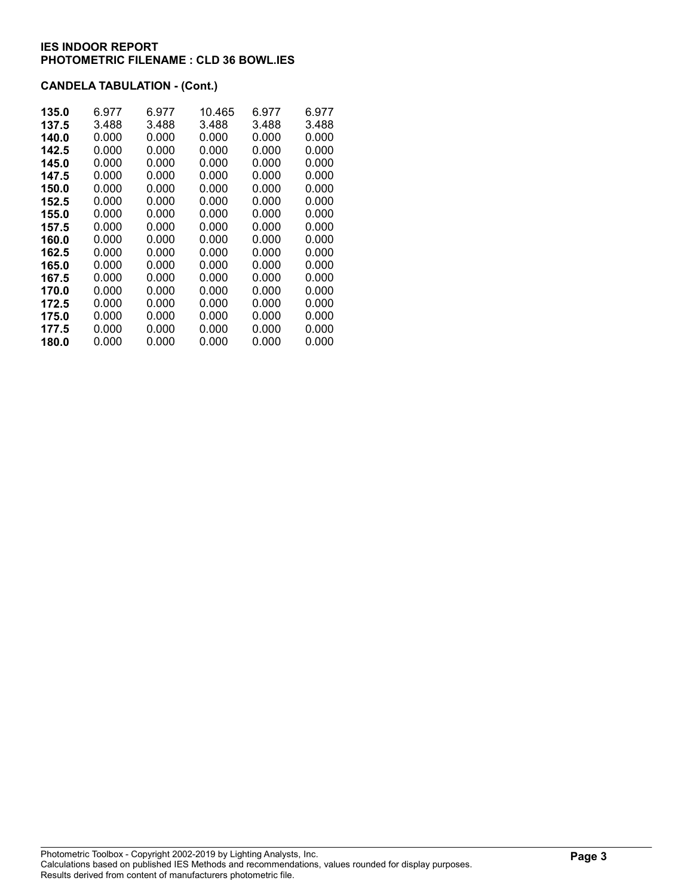# CANDELA TABULATION - (Cont.)

| 135.0 | 6.977 | 6.977 | 10.465 | 6.977 | 6.977 |
|-------|-------|-------|--------|-------|-------|
| 137.5 | 3.488 | 3.488 | 3.488  | 3.488 | 3.488 |
| 140.0 | 0.000 | 0.000 | 0.000  | 0.000 | 0.000 |
| 142.5 | 0.000 | 0.000 | 0.000  | 0.000 | 0.000 |
| 145.0 | 0.000 | 0.000 | 0.000  | 0.000 | 0.000 |
| 147.5 | 0.000 | 0.000 | 0.000  | 0.000 | 0.000 |
| 150.0 | 0.000 | 0.000 | 0.000  | 0.000 | 0.000 |
| 152.5 | 0.000 | 0.000 | 0.000  | 0.000 | 0.000 |
| 155.0 | 0.000 | 0.000 | 0.000  | 0.000 | 0.000 |
| 157.5 | 0.000 | 0.000 | 0.000  | 0.000 | 0.000 |
| 160.0 | 0.000 | 0.000 | 0.000  | 0.000 | 0.000 |
| 162.5 | 0.000 | 0.000 | 0.000  | 0.000 | 0.000 |
| 165.0 | 0.000 | 0.000 | 0.000  | 0.000 | 0.000 |
| 167.5 | 0.000 | 0.000 | 0.000  | 0.000 | 0.000 |
| 170.0 | 0.000 | 0.000 | 0.000  | 0.000 | 0.000 |
| 172.5 | 0.000 | 0.000 | 0.000  | 0.000 | 0.000 |
| 175.0 | 0.000 | 0.000 | 0.000  | 0.000 | 0.000 |
| 177.5 | 0.000 | 0.000 | 0.000  | 0.000 | 0.000 |
| 180.0 | 0.000 | 0.000 | 0.000  | 0.000 | 0.000 |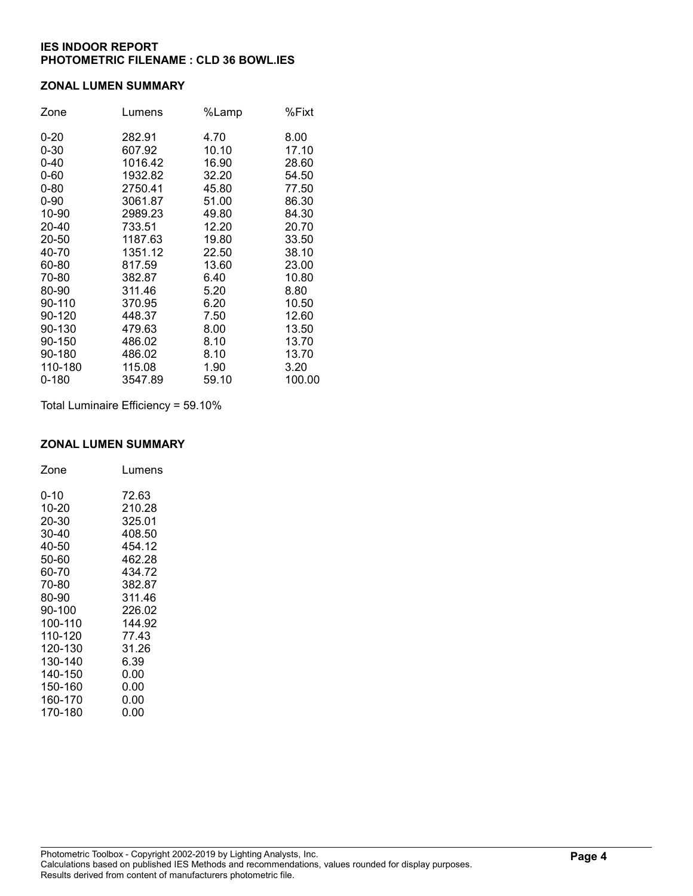#### ZONAL LUMEN SUMMARY

| Zone     | Lumens  | %Lamp | %Fixt  |
|----------|---------|-------|--------|
| $0 - 20$ | 282.91  | 4.70  | 8.00   |
| $0 - 30$ | 607.92  | 10.10 | 17.10  |
| $0 - 40$ | 1016.42 | 16.90 | 28.60  |
| $0 - 60$ | 1932.82 | 32.20 | 54.50  |
| $0 - 80$ | 2750.41 | 45.80 | 77.50  |
| $0 - 90$ | 3061.87 | 51.00 | 86.30  |
| 10-90    | 2989.23 | 49.80 | 84.30  |
| 20-40    | 733.51  | 12.20 | 20.70  |
| 20-50    | 1187.63 | 19.80 | 33.50  |
| 40-70    | 1351.12 | 22.50 | 38.10  |
| 60-80    | 817.59  | 13.60 | 23.00  |
| 70-80    | 382.87  | 6.40  | 10.80  |
| 80-90    | 311.46  | 5.20  | 8.80   |
| 90-110   | 370.95  | 6.20  | 10.50  |
| 90-120   | 448.37  | 7.50  | 12.60  |
| 90-130   | 479.63  | 8.00  | 13.50  |
| 90-150   | 486.02  | 8.10  | 13.70  |
| 90-180   | 486.02  | 8.10  | 13.70  |
| 110-180  | 115.08  | 1.90  | 3.20   |
| 0-180    | 3547.89 | 59.10 | 100.00 |

Total Luminaire Efficiency = 59.10%

# ZONAL LUMEN SUMMARY

| Zone    | Lumens |
|---------|--------|
| 0-10    | 72.63  |
| 10-20   | 210.28 |
| 20-30   | 325.01 |
| 30-40   | 408.50 |
| 40-50   | 454.12 |
| 50-60   | 462.28 |
| 60-70   | 434.72 |
| 70-80   | 382.87 |
| 80-90   | 311.46 |
| 90-100  | 226.02 |
| 100-110 | 144.92 |
| 110-120 | 77.43  |
| 120-130 | 31.26  |
| 130-140 | 6.39   |
| 140-150 | 0.00   |
| 150-160 | 0.00   |
| 160-170 | 0.00   |
| 170-180 | 0.00   |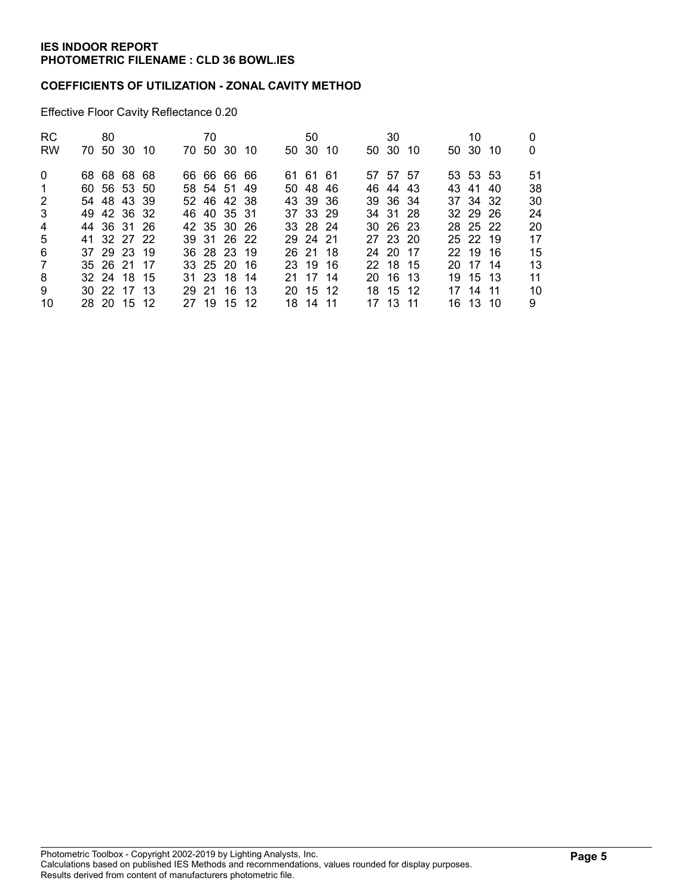## COEFFICIENTS OF UTILIZATION - ZONAL CAVITY METHOD

Effective Floor Cavity Reflectance 0.20

| <b>RC</b><br><b>RW</b> | 80 | 70 50 30 10 |  | 70<br>70 50 30 10 |  | 50<br>50 30 10 |      | 30<br>50 30 10 |  | 10<br>50 30 10 | 0<br>0 |
|------------------------|----|-------------|--|-------------------|--|----------------|------|----------------|--|----------------|--------|
| $\mathbf{0}$           |    | 68 68 68 68 |  | 66 66 66 66       |  | 61 61 61       |      | 57 57 57       |  | 53 53 53       | 51     |
| -1                     |    | 60 56 53 50 |  | 58 54 51 49       |  | 50 48 46       |      | 46 44 43       |  | 43 41 40       | 38     |
| 2                      |    | 54 48 43 39 |  | 52 46 42 38       |  | 43 39 36       |      | 39 36 34       |  | 37 34 32       | 30     |
| 3                      |    | 49 42 36 32 |  | 46 40 35 31       |  | 37 33 29       |      | 34 31 28       |  | 32 29 26       | 24     |
| 4                      |    | 44 36 31 26 |  | 42 35 30 26       |  | 33 28 24       |      | $30\,26\,23$   |  | 28 25 22       | 20     |
| 5                      |    | 41 32 27 22 |  | 39 31 26 22       |  | 29 24 21       |      | 27 23 20       |  | 25 22 19       | 17     |
| 6                      |    | 37 29 23 19 |  | 36 28 23 19       |  | 26 21 18       |      | 24 20 17       |  | 22 19 16       | 15     |
| $\overline{7}$         |    | 35 26 21 17 |  | 33 25 20 16       |  | 23 19 16       |      | 22 18 15       |  | 20 17 14       | 13     |
| 8                      |    | 32 24 18 15 |  | 31 23 18 14       |  | 21 17          | - 14 | 20 16 13       |  | 19 15 13       | 11     |
| 9                      |    | 30 22 17 13 |  | 29 21 16 13       |  | 20 15 12       |      | 18 15 12       |  | 17 14 11       | 10     |
| 10                     |    | 28 20 15 12 |  | 27 19 15 12       |  | 18 14 11       |      | 17 13 11       |  | 16 13 10       | 9      |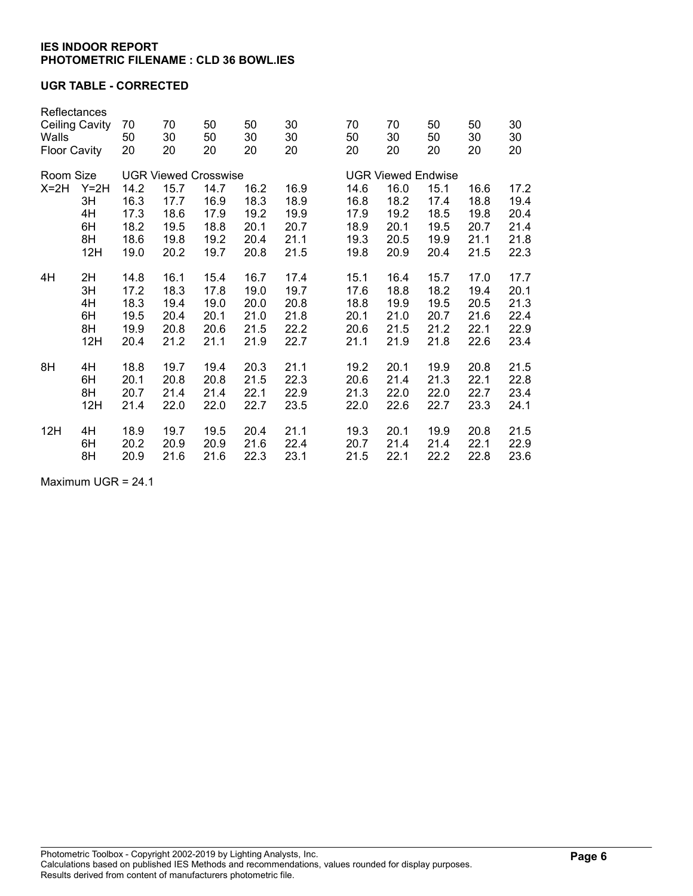### UGR TABLE - CORRECTED

| Reflectances<br><b>Ceiling Cavity</b><br>Walls<br><b>Floor Cavity</b> |     | 70<br>50<br>20                               | 70<br>30<br>20                                                              | 50<br>50<br>20                               | 50<br>30<br>20                               | 30<br>30<br>20                               | 70<br>50<br>20                               | 70<br>30<br>20                                                            | 50<br>50<br>20                               | 50<br>30<br>20                               | 30<br>30<br>20                               |
|-----------------------------------------------------------------------|-----|----------------------------------------------|-----------------------------------------------------------------------------|----------------------------------------------|----------------------------------------------|----------------------------------------------|----------------------------------------------|---------------------------------------------------------------------------|----------------------------------------------|----------------------------------------------|----------------------------------------------|
| Room Size<br>$X=2H$<br>$Y=2H$<br>3H<br>4H<br>6H<br>8H<br>12H          |     | 14.2<br>16.3<br>17.3<br>18.2<br>18.6<br>19.0 | <b>UGR Viewed Crosswise</b><br>15.7<br>17.7<br>18.6<br>19.5<br>19.8<br>20.2 | 14.7<br>16.9<br>17.9<br>18.8<br>19.2<br>19.7 | 16.2<br>18.3<br>19.2<br>20.1<br>20.4<br>20.8 | 16.9<br>18.9<br>19.9<br>20.7<br>21.1<br>21.5 | 14.6<br>16.8<br>17.9<br>18.9<br>19.3<br>19.8 | <b>UGR Viewed Endwise</b><br>16.0<br>18.2<br>19.2<br>20.1<br>20.5<br>20.9 | 15.1<br>17.4<br>18.5<br>19.5<br>19.9<br>20.4 | 16.6<br>18.8<br>19.8<br>20.7<br>21.1<br>21.5 | 17.2<br>19.4<br>20.4<br>21.4<br>21.8<br>22.3 |
| 4H                                                                    | 2H  | 14.8                                         | 16.1                                                                        | 15.4                                         | 16.7                                         | 17.4                                         | 15.1                                         | 16.4                                                                      | 15.7                                         | 17.0                                         | 17.7                                         |
|                                                                       | 3H  | 17.2                                         | 18.3                                                                        | 17.8                                         | 19.0                                         | 19.7                                         | 17.6                                         | 18.8                                                                      | 18.2                                         | 19.4                                         | 20.1                                         |
|                                                                       | 4H  | 18.3                                         | 19.4                                                                        | 19.0                                         | 20.0                                         | 20.8                                         | 18.8                                         | 19.9                                                                      | 19.5                                         | 20.5                                         | 21.3                                         |
|                                                                       | 6H  | 19.5                                         | 20.4                                                                        | 20.1                                         | 21.0                                         | 21.8                                         | 20.1                                         | 21.0                                                                      | 20.7                                         | 21.6                                         | 22.4                                         |
|                                                                       | 8H  | 19.9                                         | 20.8                                                                        | 20.6                                         | 21.5                                         | 22.2                                         | 20.6                                         | 21.5                                                                      | 21.2                                         | 22.1                                         | 22.9                                         |
|                                                                       | 12H | 20.4                                         | 21.2                                                                        | 21.1                                         | 21.9                                         | 22.7                                         | 21.1                                         | 21.9                                                                      | 21.8                                         | 22.6                                         | 23.4                                         |
| 8H                                                                    | 4H  | 18.8                                         | 19.7                                                                        | 19.4                                         | 20.3                                         | 21.1                                         | 19.2                                         | 20.1                                                                      | 19.9                                         | 20.8                                         | 21.5                                         |
|                                                                       | 6H  | 20.1                                         | 20.8                                                                        | 20.8                                         | 21.5                                         | 22.3                                         | 20.6                                         | 21.4                                                                      | 21.3                                         | 22.1                                         | 22.8                                         |
|                                                                       | 8H  | 20.7                                         | 21.4                                                                        | 21.4                                         | 22.1                                         | 22.9                                         | 21.3                                         | 22.0                                                                      | 22.0                                         | 22.7                                         | 23.4                                         |
|                                                                       | 12H | 21.4                                         | 22.0                                                                        | 22.0                                         | 22.7                                         | 23.5                                         | 22.0                                         | 22.6                                                                      | 22.7                                         | 23.3                                         | 24.1                                         |
| 12H                                                                   | 4H  | 18.9                                         | 19.7                                                                        | 19.5                                         | 20.4                                         | 21.1                                         | 19.3                                         | 20.1                                                                      | 19.9                                         | 20.8                                         | 21.5                                         |
|                                                                       | 6H  | 20.2                                         | 20.9                                                                        | 20.9                                         | 21.6                                         | 22.4                                         | 20.7                                         | 21.4                                                                      | 21.4                                         | 22.1                                         | 22.9                                         |
|                                                                       | 8H  | 20.9                                         | 21.6                                                                        | 21.6                                         | 22.3                                         | 23.1                                         | 21.5                                         | 22.1                                                                      | 22.2                                         | 22.8                                         | 23.6                                         |

Maximum UGR = 24.1